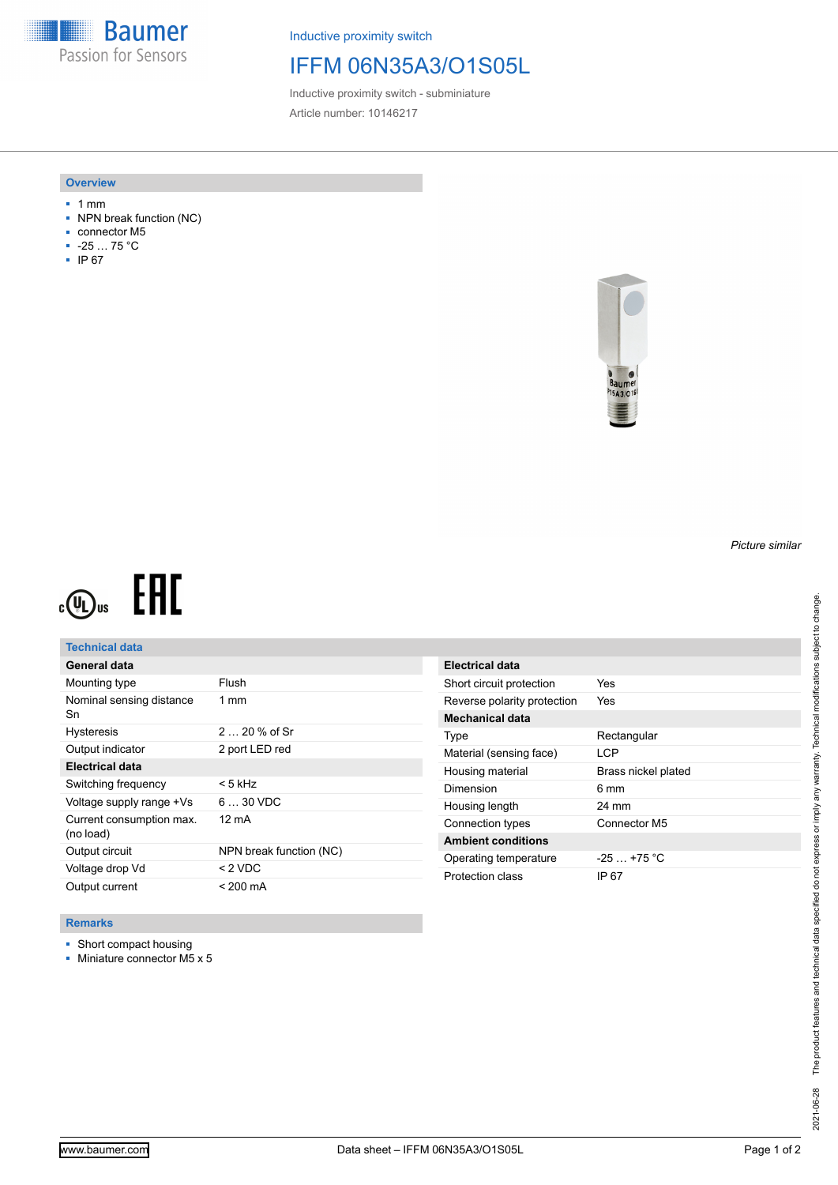**Baumer** Passion for Sensors

Inductive proximity switch

## IFFM 06N35A3/O1S05L

Inductive proximity switch - subminiature Article number: 10146217

### **Overview**

- 1 mm
- NPN break function (NC)
- connector M5
- -25 … 75 °C
- IP 67



#### *Picture similar*

# EAC  $c(\mathbf{U})$ us

## **Technical data**

| General data                          |                         |
|---------------------------------------|-------------------------|
| Mounting type                         | Flush                   |
| Nominal sensing distance<br>Sn        | $1 \text{ mm}$          |
| <b>Hysteresis</b>                     | $220%$ of Sr            |
| Output indicator                      | 2 port LED red          |
| <b>Electrical data</b>                |                         |
| Switching frequency                   | < 5 kHz                 |
| Voltage supply range +Vs              | $630$ VDC               |
| Current consumption max.<br>(no load) | 12 mA                   |
| Output circuit                        | NPN break function (NC) |
| Voltage drop Vd                       | $<$ 2 VDC               |
| Output current                        | $< 200 \text{ mA}$      |

| Electrical data             |                     |
|-----------------------------|---------------------|
| Short circuit protection    | Yes                 |
| Reverse polarity protection | Yes                 |
| <b>Mechanical data</b>      |                     |
| Type                        | Rectangular         |
| Material (sensing face)     | I CP                |
| Housing material            | Brass nickel plated |
| Dimension                   | 6 mm                |
| Housing length              | 24 mm               |
| Connection types            | Connector M5        |
| <b>Ambient conditions</b>   |                     |
| Operating temperature       | $-25$ $+75$ °C      |
| Protection class            | IP 67               |

### **Remarks**

- Short compact housing
- Miniature connector M5 x 5